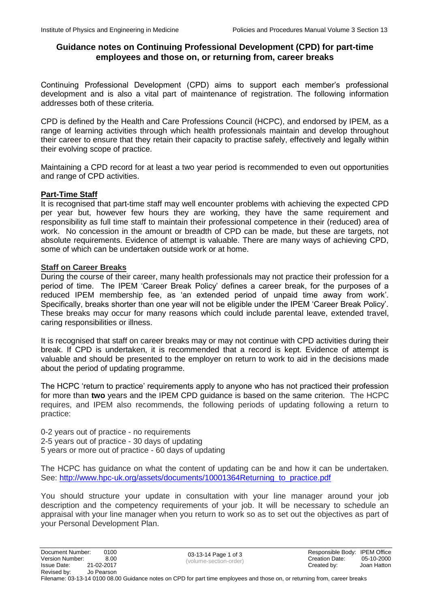# **Guidance notes on Continuing Professional Development (CPD) for part-time employees and those on, or returning from, career breaks**

Continuing Professional Development (CPD) aims to support each member's professional development and is also a vital part of maintenance of registration. The following information addresses both of these criteria.

CPD is defined by the Health and Care Professions Council (HCPC), and endorsed by IPEM, as a range of learning activities through which health professionals maintain and develop throughout their career to ensure that they retain their capacity to practise safely, effectively and legally within their evolving scope of practice.

Maintaining a CPD record for at least a two year period is recommended to even out opportunities and range of CPD activities.

### **Part-Time Staff**

It is recognised that part-time staff may well encounter problems with achieving the expected CPD per year but, however few hours they are working, they have the same requirement and responsibility as full time staff to maintain their professional competence in their (reduced) area of work. No concession in the amount or breadth of CPD can be made, but these are targets, not absolute requirements. Evidence of attempt is valuable. There are many ways of achieving CPD, some of which can be undertaken outside work or at home.

### **Staff on Career Breaks**

During the course of their career, many health professionals may not practice their profession for a period of time. The IPEM 'Career Break Policy' defines a career break, for the purposes of a reduced IPEM membership fee, as 'an extended period of unpaid time away from work'. Specifically, breaks shorter than one year will not be eligible under the IPEM 'Career Break Policy'. These breaks may occur for many reasons which could include parental leave, extended travel, caring responsibilities or illness.

It is recognised that staff on career breaks may or may not continue with CPD activities during their break. If CPD is undertaken, it is recommended that a record is kept. Evidence of attempt is valuable and should be presented to the employer on return to work to aid in the decisions made about the period of updating programme.

The HCPC 'return to practice' requirements apply to anyone who has not practiced their profession for more than **two** years and the IPEM CPD guidance is based on the same criterion. The HCPC requires, and IPEM also recommends, the following periods of updating following a return to practice:

0-2 years out of practice - no requirements 2-5 years out of practice - 30 days of updating 5 years or more out of practice - 60 days of updating

The HCPC has guidance on what the content of updating can be and how it can be undertaken. See: [http://www.hpc-uk.org/assets/documents/10001364Returning\\_to\\_practice.pdf](http://www.hpc-uk.org/assets/documents/10001364Returning_to_practice.pdf)

You should structure your update in consultation with your line manager around your job description and the competency requirements of your job. It will be necessary to schedule an appraisal with your line manager when you return to work so as to set out the objectives as part of your Personal Development Plan.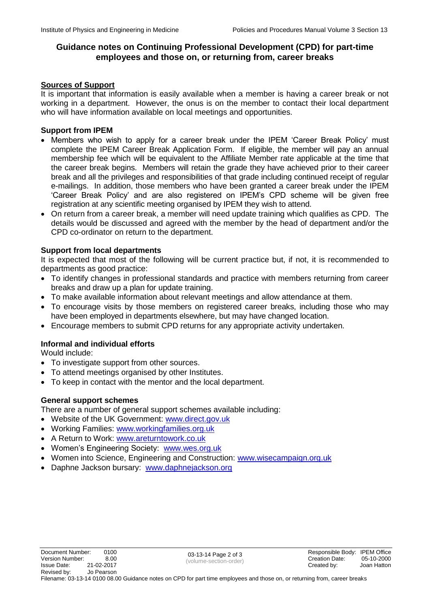# **Guidance notes on Continuing Professional Development (CPD) for part-time employees and those on, or returning from, career breaks**

## **Sources of Support**

It is important that information is easily available when a member is having a career break or not working in a department. However, the onus is on the member to contact their local department who will have information available on local meetings and opportunities.

### **Support from IPEM**

- Members who wish to apply for a career break under the IPEM 'Career Break Policy' must complete the IPEM Career Break Application Form. If eligible, the member will pay an annual membership fee which will be equivalent to the Affiliate Member rate applicable at the time that the career break begins. Members will retain the grade they have achieved prior to their career break and all the privileges and responsibilities of that grade including continued receipt of regular e-mailings. In addition, those members who have been granted a career break under the IPEM 'Career Break Policy' and are also registered on IPEM's CPD scheme will be given free registration at any scientific meeting organised by IPEM they wish to attend.
- On return from a career break, a member will need update training which qualifies as CPD. The details would be discussed and agreed with the member by the head of department and/or the CPD co-ordinator on return to the department.

## **Support from local departments**

It is expected that most of the following will be current practice but, if not, it is recommended to departments as good practice:

- To identify changes in professional standards and practice with members returning from career breaks and draw up a plan for update training.
- To make available information about relevant meetings and allow attendance at them.
- To encourage visits by those members on registered career breaks, including those who may have been employed in departments elsewhere, but may have changed location.
- Encourage members to submit CPD returns for any appropriate activity undertaken.

# **Informal and individual efforts**

Would include:

- To investigate support from other sources.
- To attend meetings organised by other Institutes.
- To keep in contact with the mentor and the local department.

## **General support schemes**

There are a number of general support schemes available including:

- Website of the UK Government: [www.direct.gov.uk](http://www.direct.gov.uk/)
- Working Families: [www.workingfamilies.org.uk](http://www.workingfamilies.org.uk/)
- A Return to Work: [www.areturntowork.co.uk](http://www.areturntowork.co.uk/)
- Women's Engineering Society: [www.wes.org.uk](http://www.wes.org.uk/)
- Women into Science, Engineering and Construction: [www.wisecampaign.org.uk](http://www.wisecampaign.org.uk/)
- Daphne Jackson bursary: [www.daphnejackson.org](http://www.daphnejackson.org/)